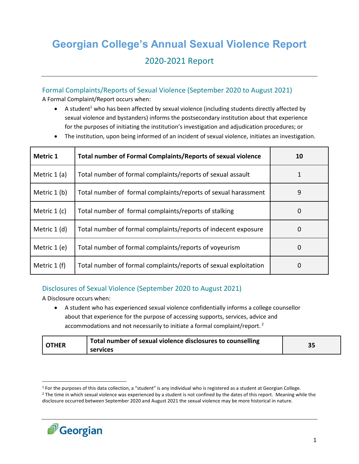# **Georgian College's Annual Sexual Violence Report** 2020-2021 Report

# Formal Complaints/Reports of Sexual Violence (September 2020 to August 2021)

A Formal Complaint/Report occurs when:

- A student<sup>1</sup> who has been affected by sexual violence (including students directly affected by sexual violence and bystanders) informs the postsecondary institution about that experience for the purposes of initiating the institution's investigation and adjudication procedures; or
- The institution, upon being informed of an incident of sexual violence, initiates an investigation.

| <b>Metric 1</b> | Total number of Formal Complaints/Reports of sexual violence     | 10 |
|-----------------|------------------------------------------------------------------|----|
| Metric $1(a)$   | Total number of formal complaints/reports of sexual assault      |    |
| Metric 1 (b)    | Total number of formal complaints/reports of sexual harassment   | 9  |
| Metric $1(c)$   | Total number of formal complaints/reports of stalking            | 0  |
| Metric 1 (d)    | Total number of formal complaints/reports of indecent exposure   | 0  |
| Metric 1 (e)    | Total number of formal complaints/reports of voyeurism           | 0  |
| Metric $1(f)$   | Total number of formal complaints/reports of sexual exploitation | 0  |

## Disclosures of Sexual Violence (September 2020 to August 2021)

A Disclosure occurs when:

 A student who has experienced sexual violence confidentially informs a college counsellor about that experience for the purpose of accessing supports, services, advice and accommodations and not necessarily to initiate a formal complaint/report.<sup>2</sup>

| <b>OTHER</b> | Total number of sexual violence disclosures to counselling<br>services | י כ<br>ככ |
|--------------|------------------------------------------------------------------------|-----------|
|--------------|------------------------------------------------------------------------|-----------|

<sup>&</sup>lt;sup>2</sup> The time in which sexual violence was experienced by a student is not confined by the dates of this report. Meaning while the disclosure occurred between September 2020 and August 2021 the sexual violence may be more historical in nature.



 $\overline{\phantom{a}}$ 

<sup>1</sup> For the purposes of this data collection, a "student" is any individual who is registered as a student at Georgian College.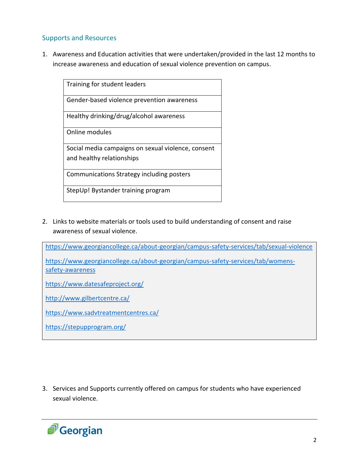# Supports and Resources

1. Awareness and Education activities that were undertaken/provided in the last 12 months to increase awareness and education of sexual violence prevention on campus.

| Training for student leaders                       |
|----------------------------------------------------|
| Gender-based violence prevention awareness         |
| Healthy drinking/drug/alcohol awareness            |
| Online modules                                     |
| Social media campaigns on sexual violence, consent |
| and healthy relationships                          |
| Communications Strategy including posters          |
| StepUp! Bystander training program                 |

2. Links to website materials or tools used to build understanding of consent and raise awareness of sexual violence.

<https://www.georgiancollege.ca/about-georgian/campus-safety-services/tab/sexual-violence>

[https://www.georgiancollege.ca/about-georgian/campus-safety-services/tab/womens](https://www.georgiancollege.ca/about-georgian/campus-safety-services/tab/womens-safety-awareness)[safety-awareness](https://www.georgiancollege.ca/about-georgian/campus-safety-services/tab/womens-safety-awareness)

<https://www.datesafeproject.org/>

<http://www.gilbertcentre.ca/>

<https://www.sadvtreatmentcentres.ca/>

<https://stepupprogram.org/>

3. Services and Supports currently offered on campus for students who have experienced sexual violence.

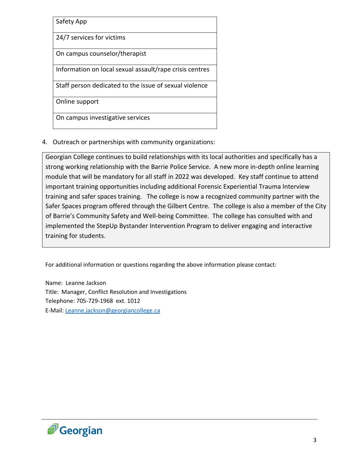| Safety App                                              |
|---------------------------------------------------------|
| 24/7 services for victims                               |
| On campus counselor/therapist                           |
| Information on local sexual assault/rape crisis centres |
| Staff person dedicated to the issue of sexual violence  |
| Online support                                          |
| On campus investigative services                        |

4. Outreach or partnerships with community organizations:

Georgian College continues to build relationships with its local authorities and specifically has a strong working relationship with the Barrie Police Service. A new more in-depth online learning module that will be mandatory for all staff in 2022 was developed. Key staff continue to attend important training opportunities including additional Forensic Experiential Trauma Interview training and safer spaces training. The college is now a recognized community partner with the Safer Spaces program offered through the Gilbert Centre. The college is also a member of the City of Barrie's Community Safety and Well-being Committee. The college has consulted with and implemented the StepUp Bystander Intervention Program to deliver engaging and interactive training for students.

For additional information or questions regarding the above information please contact:

Name: Leanne Jackson Title: Manager, Conflict Resolution and Investigations Telephone: 705-729-1968 ext. 1012 E-Mail: [Leanne.jackson@georgiancollege.ca](mailto:Leanne.jackson@georgiancollege.ca)

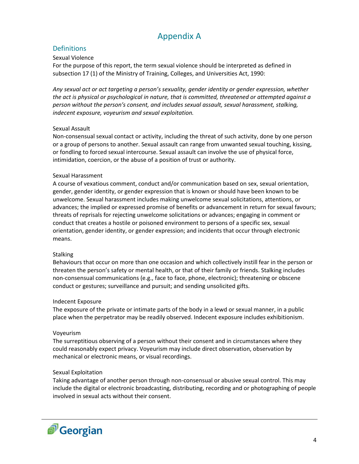# Appendix A

## **Definitions**

#### Sexual Violence

For the purpose of this report, the term sexual violence should be interpreted as defined in subsection 17 (1) of the Ministry of Training, Colleges, and Universities Act, 1990:

*Any sexual act or act targeting a person's sexuality, gender identity or gender expression, whether the act is physical or psychological in nature, that is committed, threatened or attempted against a person without the person's consent, and includes sexual assault, sexual harassment, stalking, indecent exposure, voyeurism and sexual exploitation.*

#### Sexual Assault

Non-consensual sexual contact or activity, including the threat of such activity, done by one person or a group of persons to another. Sexual assault can range from unwanted sexual touching, kissing, or fondling to forced sexual intercourse. Sexual assault can involve the use of physical force, intimidation, coercion, or the abuse of a position of trust or authority.

#### Sexual Harassment

A course of vexatious comment, conduct and/or communication based on sex, sexual orientation, gender, gender identity, or gender expression that is known or should have been known to be unwelcome. Sexual harassment includes making unwelcome sexual solicitations, attentions, or advances; the implied or expressed promise of benefits or advancement in return for sexual favours; threats of reprisals for rejecting unwelcome solicitations or advances; engaging in comment or conduct that creates a hostile or poisoned environment to persons of a specific sex, sexual orientation, gender identity, or gender expression; and incidents that occur through electronic means.

#### **Stalking**

Behaviours that occur on more than one occasion and which collectively instill fear in the person or threaten the person's safety or mental health, or that of their family or friends. Stalking includes non-consensual communications (e.g., face to face, phone, electronic); threatening or obscene conduct or gestures; surveillance and pursuit; and sending unsolicited gifts.

#### Indecent Exposure

The exposure of the private or intimate parts of the body in a lewd or sexual manner, in a public place when the perpetrator may be readily observed. Indecent exposure includes exhibitionism.

#### Voyeurism

The surreptitious observing of a person without their consent and in circumstances where they could reasonably expect privacy. Voyeurism may include direct observation, observation by mechanical or electronic means, or visual recordings.

#### Sexual Exploitation

Taking advantage of another person through non-consensual or abusive sexual control. This may include the digital or electronic broadcasting, distributing, recording and or photographing of people involved in sexual acts without their consent.